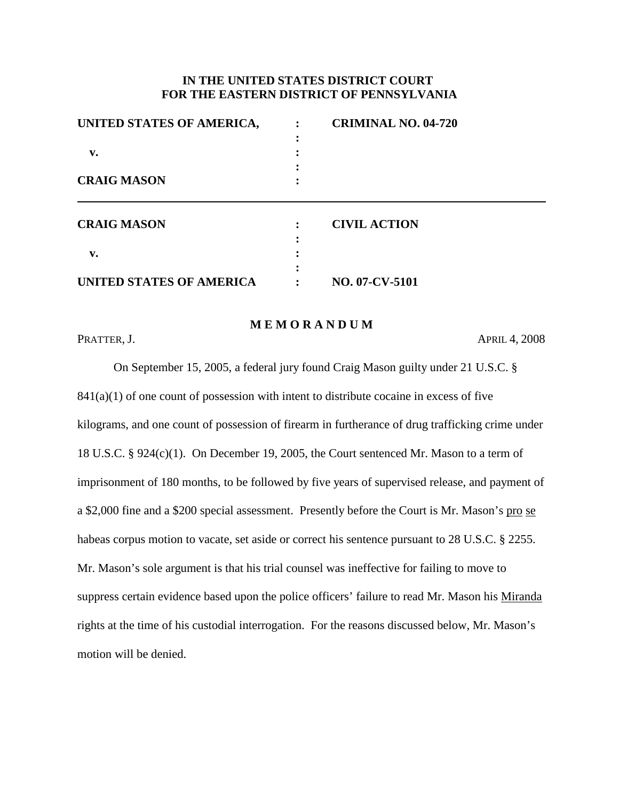# **IN THE UNITED STATES DISTRICT COURT FOR THE EASTERN DISTRICT OF PENNSYLVANIA**

| UNITED STATES OF AMERICA,<br>$\mathbf{v}$ .<br><b>CRAIG MASON</b> | <b>CRIMINAL NO. 04-720</b> |                    |                     |
|-------------------------------------------------------------------|----------------------------|--------------------|---------------------|
|                                                                   |                            | <b>CRAIG MASON</b> | <b>CIVIL ACTION</b> |
|                                                                   |                            |                    |                     |
|                                                                   |                            | $\mathbf{v}$ .     |                     |
|                                                                   |                            |                    |                     |
| UNITED STATES OF AMERICA                                          | NO. 07-CV-5101             |                    |                     |

## **M E M O R A N D U M**

PRATTER, J.  $APRL 4, 2008$ 

On September 15, 2005, a federal jury found Craig Mason guilty under 21 U.S.C. §  $841(a)(1)$  of one count of possession with intent to distribute cocaine in excess of five kilograms, and one count of possession of firearm in furtherance of drug trafficking crime under 18 U.S.C. § 924(c)(1). On December 19, 2005, the Court sentenced Mr. Mason to a term of imprisonment of 180 months, to be followed by five years of supervised release, and payment of a \$2,000 fine and a \$200 special assessment. Presently before the Court is Mr. Mason's pro se habeas corpus motion to vacate, set aside or correct his sentence pursuant to 28 U.S.C. § 2255. Mr. Mason's sole argument is that his trial counsel was ineffective for failing to move to suppress certain evidence based upon the police officers' failure to read Mr. Mason his Miranda rights at the time of his custodial interrogation. For the reasons discussed below, Mr. Mason's motion will be denied.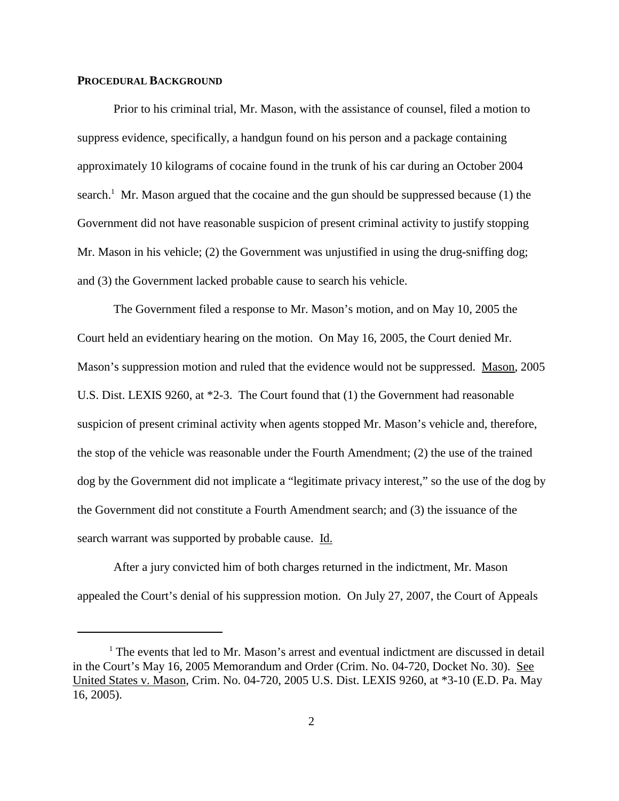### **PROCEDURAL BACKGROUND**

Prior to his criminal trial, Mr. Mason, with the assistance of counsel, filed a motion to suppress evidence, specifically, a handgun found on his person and a package containing approximately 10 kilograms of cocaine found in the trunk of his car during an October 2004 search.<sup>1</sup> Mr. Mason argued that the cocaine and the gun should be suppressed because (1) the Government did not have reasonable suspicion of present criminal activity to justify stopping Mr. Mason in his vehicle; (2) the Government was unjustified in using the drug-sniffing dog; and (3) the Government lacked probable cause to search his vehicle.

The Government filed a response to Mr. Mason's motion, and on May 10, 2005 the Court held an evidentiary hearing on the motion. On May 16, 2005, the Court denied Mr. Mason's suppression motion and ruled that the evidence would not be suppressed. Mason, 2005 U.S. Dist. LEXIS 9260, at \*2-3. The Court found that (1) the Government had reasonable suspicion of present criminal activity when agents stopped Mr. Mason's vehicle and, therefore, the stop of the vehicle was reasonable under the Fourth Amendment; (2) the use of the trained dog by the Government did not implicate a "legitimate privacy interest," so the use of the dog by the Government did not constitute a Fourth Amendment search; and (3) the issuance of the search warrant was supported by probable cause. Id.

After a jury convicted him of both charges returned in the indictment, Mr. Mason appealed the Court's denial of his suppression motion. On July 27, 2007, the Court of Appeals

<sup>&</sup>lt;sup>1</sup> The events that led to Mr. Mason's arrest and eventual indictment are discussed in detail in the Court's May 16, 2005 Memorandum and Order (Crim. No. 04-720, Docket No. 30). See United States v. Mason, Crim. No. 04-720, 2005 U.S. Dist. LEXIS 9260, at \*3-10 (E.D. Pa. May 16, 2005).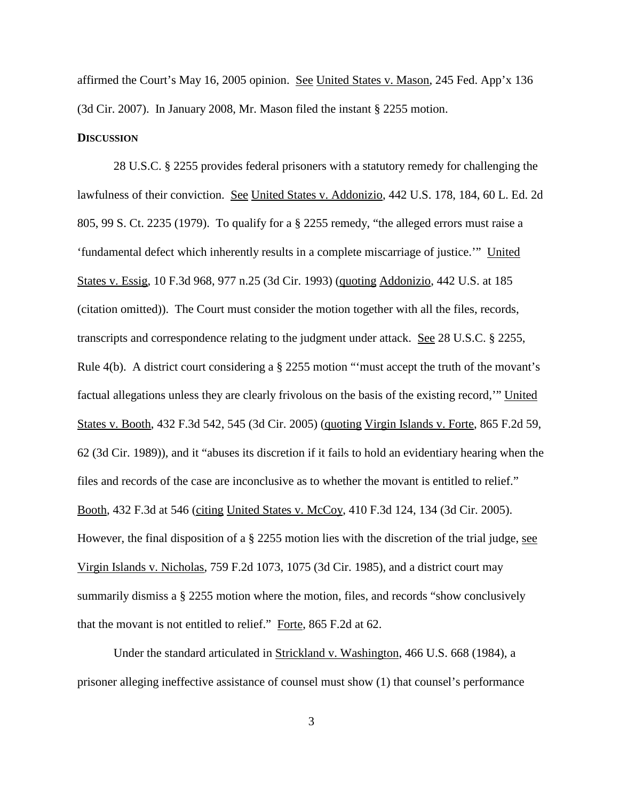affirmed the Court's May 16, 2005 opinion. See United States v. Mason, 245 Fed. App'x 136 (3d Cir. 2007). In January 2008, Mr. Mason filed the instant § 2255 motion.

#### **DISCUSSION**

28 U.S.C. § 2255 provides federal prisoners with a statutory remedy for challenging the lawfulness of their conviction. See United States v. Addonizio, 442 U.S. 178, 184, 60 L. Ed. 2d 805, 99 S. Ct. 2235 (1979). To qualify for a § 2255 remedy, "the alleged errors must raise a 'fundamental defect which inherently results in a complete miscarriage of justice.'" United States v. Essig, 10 F.3d 968, 977 n.25 (3d Cir. 1993) (quoting Addonizio, 442 U.S. at 185 (citation omitted)). The Court must consider the motion together with all the files, records, transcripts and correspondence relating to the judgment under attack. See 28 U.S.C. § 2255, Rule 4(b). A district court considering a § 2255 motion "'must accept the truth of the movant's factual allegations unless they are clearly frivolous on the basis of the existing record,'" United States v. Booth, 432 F.3d 542, 545 (3d Cir. 2005) (quoting Virgin Islands v. Forte, 865 F.2d 59, 62 (3d Cir. 1989)), and it "abuses its discretion if it fails to hold an evidentiary hearing when the files and records of the case are inconclusive as to whether the movant is entitled to relief." Booth, 432 F.3d at 546 (citing United States v. McCoy, 410 F.3d 124, 134 (3d Cir. 2005). However, the final disposition of a  $\S$  2255 motion lies with the discretion of the trial judge, see Virgin Islands v. Nicholas, 759 F.2d 1073, 1075 (3d Cir. 1985), and a district court may summarily dismiss a § 2255 motion where the motion, files, and records "show conclusively that the movant is not entitled to relief." Forte, 865 F.2d at 62.

Under the standard articulated in Strickland v. Washington, 466 U.S. 668 (1984), a prisoner alleging ineffective assistance of counsel must show (1) that counsel's performance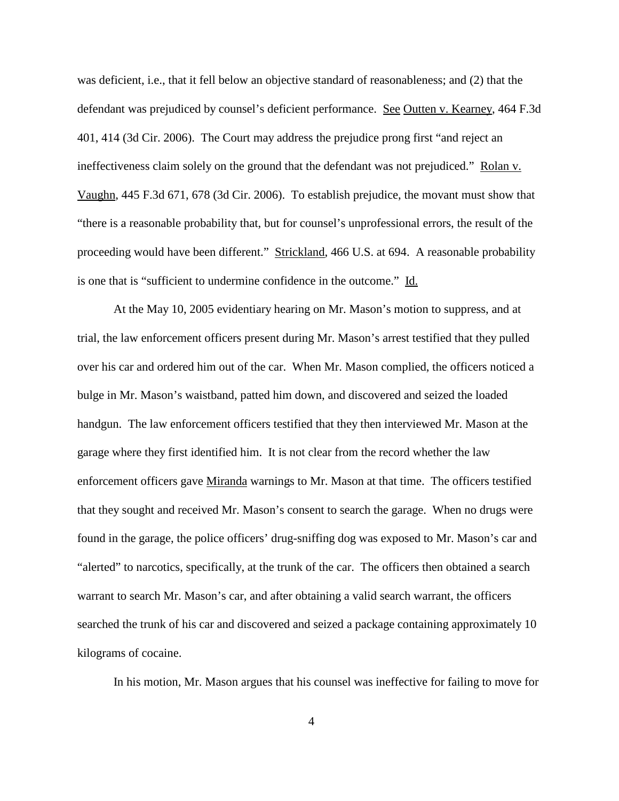was deficient, i.e., that it fell below an objective standard of reasonableness; and (2) that the defendant was prejudiced by counsel's deficient performance. See Outten v. Kearney, 464 F.3d 401, 414 (3d Cir. 2006). The Court may address the prejudice prong first "and reject an ineffectiveness claim solely on the ground that the defendant was not prejudiced." Rolan v. Vaughn, 445 F.3d 671, 678 (3d Cir. 2006). To establish prejudice, the movant must show that "there is a reasonable probability that, but for counsel's unprofessional errors, the result of the proceeding would have been different." Strickland, 466 U.S. at 694. A reasonable probability is one that is "sufficient to undermine confidence in the outcome." Id.

At the May 10, 2005 evidentiary hearing on Mr. Mason's motion to suppress, and at trial, the law enforcement officers present during Mr. Mason's arrest testified that they pulled over his car and ordered him out of the car. When Mr. Mason complied, the officers noticed a bulge in Mr. Mason's waistband, patted him down, and discovered and seized the loaded handgun. The law enforcement officers testified that they then interviewed Mr. Mason at the garage where they first identified him. It is not clear from the record whether the law enforcement officers gave Miranda warnings to Mr. Mason at that time. The officers testified that they sought and received Mr. Mason's consent to search the garage. When no drugs were found in the garage, the police officers' drug-sniffing dog was exposed to Mr. Mason's car and "alerted" to narcotics, specifically, at the trunk of the car. The officers then obtained a search warrant to search Mr. Mason's car, and after obtaining a valid search warrant, the officers searched the trunk of his car and discovered and seized a package containing approximately 10 kilograms of cocaine.

In his motion, Mr. Mason argues that his counsel was ineffective for failing to move for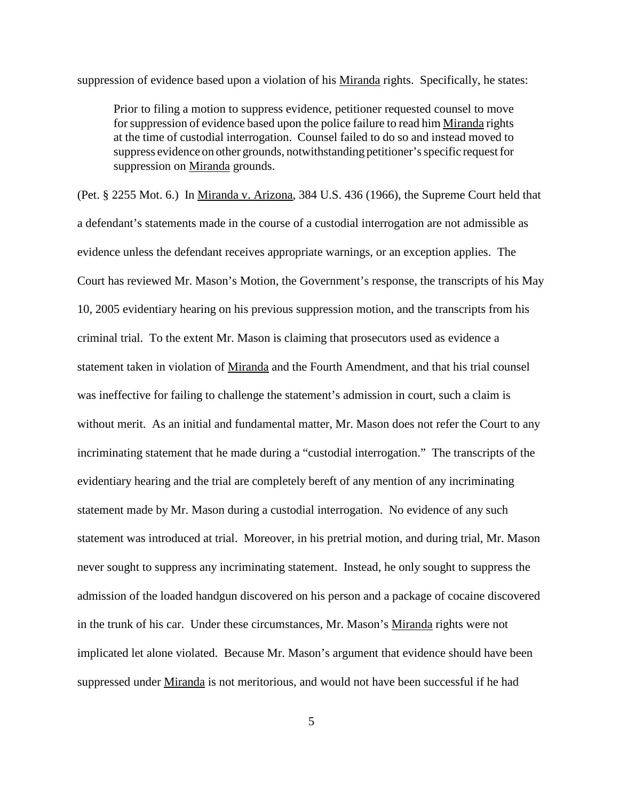suppression of evidence based upon a violation of his Miranda rights. Specifically, he states:

Prior to filing a motion to suppress evidence, petitioner requested counsel to move for suppression of evidence based upon the police failure to read him Miranda rights at the time of custodial interrogation. Counsel failed to do so and instead moved to suppress evidence on other grounds, notwithstanding petitioner's specific request for suppression on Miranda grounds.

(Pet. § 2255 Mot. 6.) In Miranda v. Arizona, 384 U.S. 436 (1966), the Supreme Court held that a defendant's statements made in the course of a custodial interrogation are not admissible as evidence unless the defendant receives appropriate warnings, or an exception applies. The Court has reviewed Mr. Mason's Motion, the Government's response, the transcripts of his May 10, 2005 evidentiary hearing on his previous suppression motion, and the transcripts from his criminal trial. To the extent Mr. Mason is claiming that prosecutors used as evidence a statement taken in violation of Miranda and the Fourth Amendment, and that his trial counsel was ineffective for failing to challenge the statement's admission in court, such a claim is without merit. As an initial and fundamental matter, Mr. Mason does not refer the Court to any incriminating statement that he made during a "custodial interrogation." The transcripts of the evidentiary hearing and the trial are completely bereft of any mention of any incriminating statement made by Mr. Mason during a custodial interrogation. No evidence of any such statement was introduced at trial. Moreover, in his pretrial motion, and during trial, Mr. Mason never sought to suppress any incriminating statement. Instead, he only sought to suppress the admission of the loaded handgun discovered on his person and a package of cocaine discovered in the trunk of his car. Under these circumstances, Mr. Mason's Miranda rights were not implicated let alone violated. Because Mr. Mason's argument that evidence should have been suppressed under Miranda is not meritorious, and would not have been successful if he had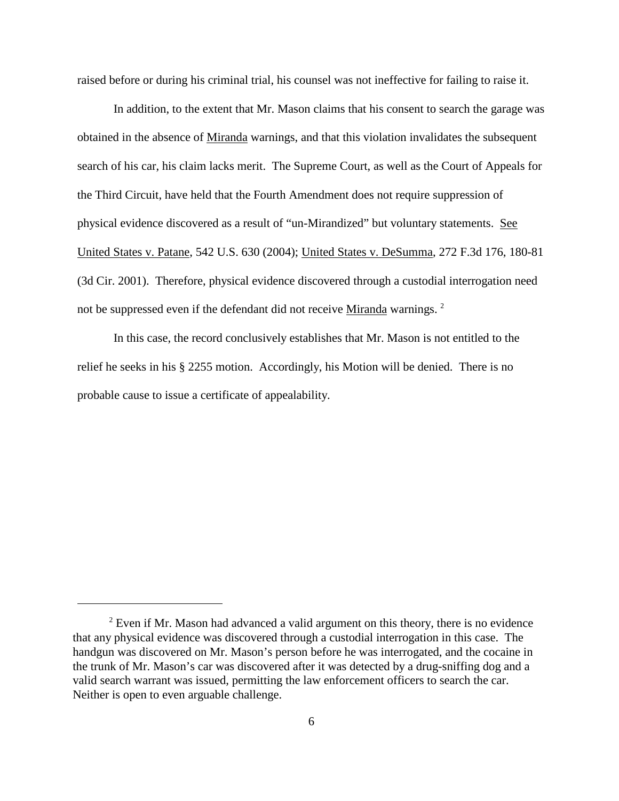raised before or during his criminal trial, his counsel was not ineffective for failing to raise it.

In addition, to the extent that Mr. Mason claims that his consent to search the garage was obtained in the absence of Miranda warnings, and that this violation invalidates the subsequent search of his car, his claim lacks merit. The Supreme Court, as well as the Court of Appeals for the Third Circuit, have held that the Fourth Amendment does not require suppression of physical evidence discovered as a result of "un-Mirandized" but voluntary statements. See United States v. Patane, 542 U.S. 630 (2004); United States v. DeSumma, 272 F.3d 176, 180-81 (3d Cir. 2001). Therefore, physical evidence discovered through a custodial interrogation need not be suppressed even if the defendant did not receive Miranda warnings.<sup>2</sup>

In this case, the record conclusively establishes that Mr. Mason is not entitled to the relief he seeks in his § 2255 motion. Accordingly, his Motion will be denied. There is no probable cause to issue a certificate of appealability.

<sup>&</sup>lt;sup>2</sup> Even if Mr. Mason had advanced a valid argument on this theory, there is no evidence that any physical evidence was discovered through a custodial interrogation in this case. The handgun was discovered on Mr. Mason's person before he was interrogated, and the cocaine in the trunk of Mr. Mason's car was discovered after it was detected by a drug-sniffing dog and a valid search warrant was issued, permitting the law enforcement officers to search the car. Neither is open to even arguable challenge.